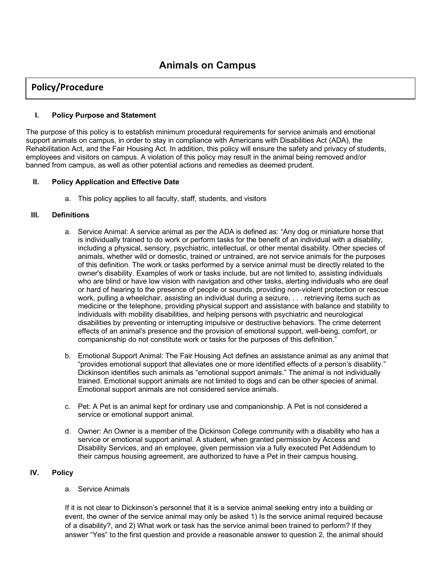# **Policy/Procedure**

### **I. Policy Purpose and Statement**

The purpose of this policy is to establish minimum procedural requirements for service animals and emotional support animals on campus, in order to stay in compliance with Americans with Disabilities Act (ADA), the Rehabilitation Act, and the Fair Housing Act. In addition, this policy will ensure the safety and privacy of students, employees and visitors on campus. A violation of this policy may result in the animal being removed and/or banned from campus, as well as other potential actions and remedies as deemed prudent.

## **II. Policy Application and Effective Date**

a. This policy applies to all faculty, staff, students, and visitors

#### **III. Definitions**

- a. Service Animal: A service animal as per the ADA is defined as: "Any dog or miniature horse that is individually trained to do work or perform tasks for the benefit of an individual with a disability, including a physical, sensory, psychiatric, intellectual, or other mental disability. Other species of animals, whether wild or domestic, trained or untrained, are not service animals for the purposes of this definition. The work or tasks performed by a service animal must be directly related to the owner's disability. Examples of work or tasks include, but are not limited to, assisting individuals who are blind or have low vision with navigation and other tasks, alerting individuals who are deaf or hard of hearing to the presence of people or sounds, providing non-violent protection or rescue work, pulling a wheelchair, assisting an individual during a seizure, . . . retrieving items such as medicine or the telephone, providing physical support and assistance with balance and stability to individuals with mobility disabilities, and helping persons with psychiatric and neurological disabilities by preventing or interrupting impulsive or destructive behaviors. The crime deterrent effects of an animal's presence and the provision of emotional support, well-being, comfort, or companionship do not constitute work or tasks for the purposes of this definition."
- b. Emotional Support Animal: The Fair Housing Act defines an assistance animal as any animal that "provides emotional support that alleviates one or more identified effects of a person's disability." Dickinson identifies such animals as "emotional support animals." The animal is not individually trained. Emotional support animals are not limited to dogs and can be other species of animal. Emotional support animals are not considered service animals.
- c. Pet: A Pet is an animal kept for ordinary use and companionship. A Pet is not considered a service or emotional support animal.
- d. Owner: An Owner is a member of the Dickinson College community with a disability who has a service or emotional support animal. A student, when granted permission by Access and Disability Services, and an employee, given permission via a fully executed Pet Addendum to their campus housing agreement, are authorized to have a Pet in their campus housing.

# **IV. Policy**

#### a. Service Animals

If it is not clear to Dickinson's personnel that it is a service animal seeking entry into a building or event, the owner of the service animal may only be asked 1) Is the service animal required because of a disability?, and 2) What work or task has the service animal been trained to perform? If they answer "Yes" to the first question and provide a reasonable answer to question 2, the animal should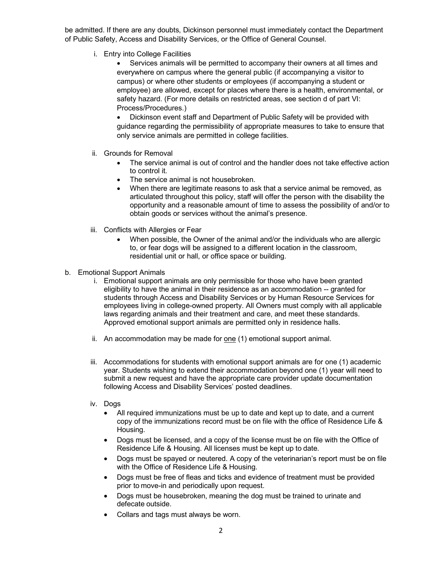be admitted. If there are any doubts, Dickinson personnel must immediately contact the Department of Public Safety, Access and Disability Services, or the Office of General Counsel.

i. Entry into College Facilities

• Services animals will be permitted to accompany their owners at all times and everywhere on campus where the general public (if accompanying a visitor to campus) or where other students or employees (if accompanying a student or employee) are allowed, except for places where there is a health, environmental, or safety hazard. (For more details on restricted areas, see section d of part VI: Process/Procedures.)

• Dickinson event staff and Department of Public Safety will be provided with guidance regarding the permissibility of appropriate measures to take to ensure that only service animals are permitted in college facilities.

- ii. Grounds for Removal
	- The service animal is out of control and the handler does not take effective action to control it.
	- The service animal is not housebroken.
	- When there are legitimate reasons to ask that a service animal be removed, as articulated throughout this policy, staff will offer the person with the disability the opportunity and a reasonable amount of time to assess the possibility of and/or to obtain goods or services without the animal's presence.
- iii. Conflicts with Allergies or Fear
	- When possible, the Owner of the animal and/or the individuals who are allergic to, or fear dogs will be assigned to a different location in the classroom, residential unit or hall, or office space or building.
- b. Emotional Support Animals
	- i. Emotional support animals are only permissible for those who have been granted eligibility to have the animal in their residence as an accommodation -- granted for students through Access and Disability Services or by Human Resource Services for employees living in college-owned property. All Owners must comply with all applicable laws regarding animals and their treatment and care, and meet these standards. Approved emotional support animals are permitted only in residence halls.
	- ii. An accommodation may be made for one (1) emotional support animal.
	- iii. Accommodations for students with emotional support animals are for one (1) academic year. Students wishing to extend their accommodation beyond one (1) year will need to submit a new request and have the appropriate care provider update documentation following Access and Disability Services' posted deadlines.
	- iv. Dogs
		- All required immunizations must be up to date and kept up to date, and a current copy of the immunizations record must be on file with the office of Residence Life & Housing.
		- Dogs must be licensed, and a copy of the license must be on file with the Office of Residence Life & Housing. All licenses must be kept up to date.
		- Dogs must be spayed or neutered. A copy of the veterinarian's report must be on file with the Office of Residence Life & Housing.
		- Dogs must be free of fleas and ticks and evidence of treatment must be provided prior to move-in and periodically upon request.
		- Dogs must be housebroken, meaning the dog must be trained to urinate and defecate outside.
		- Collars and tags must always be worn.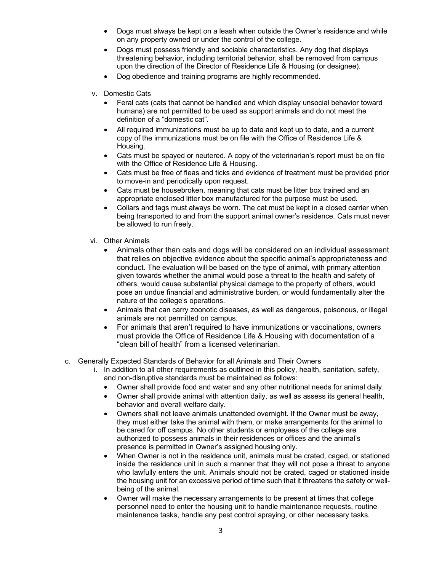- Dogs must always be kept on a leash when outside the Owner's residence and while on any property owned or under the control of the college.
- Dogs must possess friendly and sociable characteristics. Any dog that displays threatening behavior, including territorial behavior, shall be removed from campus upon the direction of the Director of Residence Life & Housing (or designee).
- Dog obedience and training programs are highly recommended.
- v. Domestic Cats
	- Feral cats (cats that cannot be handled and which display unsocial behavior toward humans) are not permitted to be used as support animals and do not meet the definition of a "domestic cat".
	- All required immunizations must be up to date and kept up to date, and a current copy of the immunizations must be on file with the Office of Residence Life & Housing.
	- Cats must be spayed or neutered. A copy of the veterinarian's report must be on file with the Office of Residence Life & Housing.
	- Cats must be free of fleas and ticks and evidence of treatment must be provided prior to move-in and periodically upon request.
	- Cats must be housebroken, meaning that cats must be litter box trained and an appropriate enclosed litter box manufactured for the purpose must be used.
	- Collars and tags must always be worn. The cat must be kept in a closed carrier when being transported to and from the support animal owner's residence. Cats must never be allowed to run freely.
- vi. Other Animals
	- Animals other than cats and dogs will be considered on an individual assessment that relies on objective evidence about the specific animal's appropriateness and conduct. The evaluation will be based on the type of animal, with primary attention given towards whether the animal would pose a threat to the health and safety of others, would cause substantial physical damage to the property of others, would pose an undue financial and administrative burden, or would fundamentally alter the nature of the college's operations.
	- Animals that can carry zoonotic diseases, as well as dangerous, poisonous, or illegal animals are not permitted on campus.
	- For animals that aren't required to have immunizations or vaccinations, owners must provide the Office of Residence Life & Housing with documentation of a "clean bill of health" from a licensed veterinarian.
- c. Generally Expected Standards of Behavior for all Animals and Their Owners
	- i. In addition to all other requirements as outlined in this policy, health, sanitation, safety, and non-disruptive standards must be maintained as follows:
		- Owner shall provide food and water and any other nutritional needs for animal daily.
		- Owner shall provide animal with attention daily, as well as assess its general health, behavior and overall welfare daily.
		- Owners shall not leave animals unattended overnight. If the Owner must be away, they must either take the animal with them, or make arrangements for the animal to be cared for off campus. No other students or employees of the college are authorized to possess animals in their residences or offices and the animal's presence is permitted in Owner's assigned housing only.
		- When Owner is not in the residence unit, animals must be crated, caged, or stationed inside the residence unit in such a manner that they will not pose a threat to anyone who lawfully enters the unit. Animals should not be crated, caged or stationed inside the housing unit for an excessive period of time such that it threatens the safety or wellbeing of the animal.
		- Owner will make the necessary arrangements to be present at times that college personnel need to enter the housing unit to handle maintenance requests, routine maintenance tasks, handle any pest control spraying, or other necessary tasks.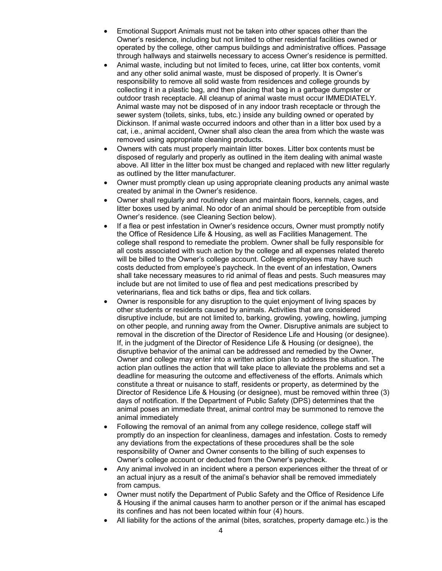- Emotional Support Animals must not be taken into other spaces other than the Owner's residence, including but not limited to other residential facilities owned or operated by the college, other campus buildings and administrative offices. Passage through hallways and stairwells necessary to access Owner's residence is permitted.
- Animal waste, including but not limited to feces, urine, cat litter box contents, vomit and any other solid animal waste, must be disposed of properly. It is Owner's responsibility to remove all solid waste from residences and college grounds by collecting it in a plastic bag, and then placing that bag in a garbage dumpster or outdoor trash receptacle. All cleanup of animal waste must occur IMMEDIATELY. Animal waste may not be disposed of in any indoor trash receptacle or through the sewer system (toilets, sinks, tubs, etc.) inside any building owned or operated by Dickinson. If animal waste occurred indoors and other than in a litter box used by a cat, i.e., animal accident, Owner shall also clean the area from which the waste was removed using appropriate cleaning products.
- Owners with cats must properly maintain litter boxes. Litter box contents must be disposed of regularly and properly as outlined in the item dealing with animal waste above. All litter in the litter box must be changed and replaced with new litter regularly as outlined by the litter manufacturer.
- Owner must promptly clean up using appropriate cleaning products any animal waste created by animal in the Owner's residence.
- Owner shall regularly and routinely clean and maintain floors, kennels, cages, and litter boxes used by animal. No odor of an animal should be perceptible from outside Owner's residence. (see Cleaning Section below).
- If a flea or pest infestation in Owner's residence occurs, Owner must promptly notify the Office of Residence Life & Housing, as well as Facilities Management. The college shall respond to remediate the problem. Owner shall be fully responsible for all costs associated with such action by the college and all expenses related thereto will be billed to the Owner's college account. College employees may have such costs deducted from employee's paycheck. In the event of an infestation, Owners shall take necessary measures to rid animal of fleas and pests. Such measures may include but are not limited to use of flea and pest medications prescribed by veterinarians, flea and tick baths or dips, flea and tick collars.
- Owner is responsible for any disruption to the quiet enjoyment of living spaces by other students or residents caused by animals. Activities that are considered disruptive include, but are not limited to, barking, growling, yowling, howling, jumping on other people, and running away from the Owner. Disruptive animals are subject to removal in the discretion of the Director of Residence Life and Housing (or designee). If, in the judgment of the Director of Residence Life & Housing (or designee), the disruptive behavior of the animal can be addressed and remedied by the Owner, Owner and college may enter into a written action plan to address the situation. The action plan outlines the action that will take place to alleviate the problems and set a deadline for measuring the outcome and effectiveness of the efforts. Animals which constitute a threat or nuisance to staff, residents or property, as determined by the Director of Residence Life & Housing (or designee), must be removed within three (3) days of notification. If the Department of Public Safety (DPS) determines that the animal poses an immediate threat, animal control may be summoned to remove the animal immediately
- Following the removal of an animal from any college residence, college staff will promptly do an inspection for cleanliness, damages and infestation. Costs to remedy any deviations from the expectations of these procedures shall be the sole responsibility of Owner and Owner consents to the billing of such expenses to Owner's college account or deducted from the Owner's paycheck.
- Any animal involved in an incident where a person experiences either the threat of or an actual injury as a result of the animal's behavior shall be removed immediately from campus.
- Owner must notify the Department of Public Safety and the Office of Residence Life & Housing if the animal causes harm to another person or if the animal has escaped its confines and has not been located within four (4) hours.
- All liability for the actions of the animal (bites, scratches, property damage etc.) is the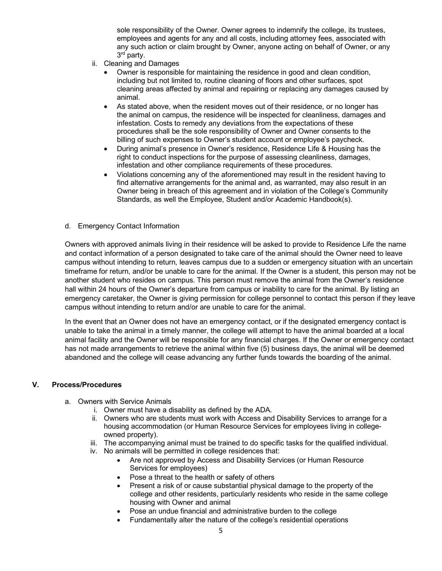sole responsibility of the Owner. Owner agrees to indemnify the college, its trustees, employees and agents for any and all costs, including attorney fees, associated with any such action or claim brought by Owner, anyone acting on behalf of Owner, or any 3rd party.

- ii. Cleaning and Damages
	- Owner is responsible for maintaining the residence in good and clean condition, including but not limited to, routine cleaning of floors and other surfaces, spot cleaning areas affected by animal and repairing or replacing any damages caused by animal.
	- As stated above, when the resident moves out of their residence, or no longer has the animal on campus, the residence will be inspected for cleanliness, damages and infestation. Costs to remedy any deviations from the expectations of these procedures shall be the sole responsibility of Owner and Owner consents to the billing of such expenses to Owner's student account or employee's paycheck.
	- During animal's presence in Owner's residence, Residence Life & Housing has the right to conduct inspections for the purpose of assessing cleanliness, damages, infestation and other compliance requirements of these procedures.
	- Violations concerning any of the aforementioned may result in the resident having to find alternative arrangements for the animal and, as warranted, may also result in an Owner being in breach of this agreement and in violation of the College's Community Standards, as well the Employee, Student and/or Academic Handbook(s).

#### d. Emergency Contact Information

Owners with approved animals living in their residence will be asked to provide to Residence Life the name and contact information of a person designated to take care of the animal should the Owner need to leave campus without intending to return, leaves campus due to a sudden or emergency situation with an uncertain timeframe for return, and/or be unable to care for the animal. If the Owner is a student, this person may not be another student who resides on campus. This person must remove the animal from the Owner's residence hall within 24 hours of the Owner's departure from campus or inability to care for the animal. By listing an emergency caretaker, the Owner is giving permission for college personnel to contact this person if they leave campus without intending to return and/or are unable to care for the animal.

In the event that an Owner does not have an emergency contact, or if the designated emergency contact is unable to take the animal in a timely manner, the college will attempt to have the animal boarded at a local animal facility and the Owner will be responsible for any financial charges. If the Owner or emergency contact has not made arrangements to retrieve the animal within five (5) business days, the animal will be deemed abandoned and the college will cease advancing any further funds towards the boarding of the animal.

#### **V. Process/Procedures**

- a. Owners with Service Animals
	- i. Owner must have a disability as defined by the ADA.
	- ii. Owners who are students must work with Access and Disability Services to arrange for a housing accommodation (or Human Resource Services for employees living in collegeowned property).
	- iii. The accompanying animal must be trained to do specific tasks for the qualified individual.
	- iv. No animals will be permitted in college residences that:
		- Are not approved by Access and Disability Services (or Human Resource Services for employees)
		- Pose a threat to the health or safety of others
		- Present a risk of or cause substantial physical damage to the property of the college and other residents, particularly residents who reside in the same college housing with Owner and animal
		- Pose an undue financial and administrative burden to the college
			- Fundamentally alter the nature of the college's residential operations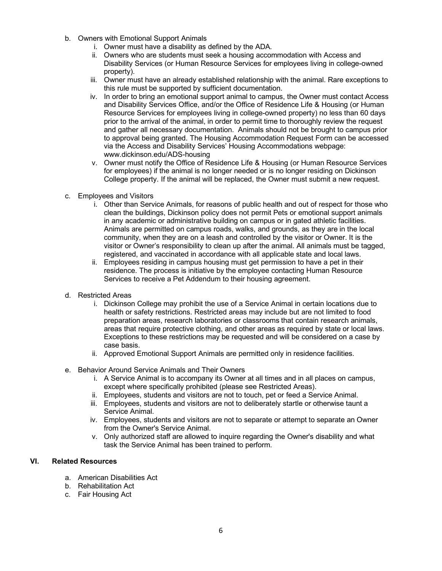- b. Owners with Emotional Support Animals
	- i. Owner must have a disability as defined by the ADA.
	- ii. Owners who are students must seek a housing accommodation with Access and Disability Services (or Human Resource Services for employees living in college-owned property).
	- iii. Owner must have an already established relationship with the animal. Rare exceptions to this rule must be supported by sufficient documentation.
	- iv. In order to bring an emotional support animal to campus, the Owner must contact Access and Disability Services Office, and/or the Office of Residence Life & Housing (or Human Resource Services for employees living in college-owned property) no less than 60 days prior to the arrival of the animal, in order to permit time to thoroughly review the request and gather all necessary documentation. Animals should not be brought to campus prior to approval being granted. The Housing Accommodation Request Form can be accessed via the Access and Disability Services' Housing Accommodations webpage: www.dickinson.edu/ADS-housing
	- v. Owner must notify the Office of Residence Life & Housing (or Human Resource Services for employees) if the animal is no longer needed or is no longer residing on Dickinson College property. If the animal will be replaced, the Owner must submit a new request.
- c. Employees and Visitors
	- i. Other than Service Animals, for reasons of public health and out of respect for those who clean the buildings, Dickinson policy does not permit Pets or emotional support animals in any academic or administrative building on campus or in gated athletic facilities. Animals are permitted on campus roads, walks, and grounds, as they are in the local community, when they are on a leash and controlled by the visitor or Owner. It is the visitor or Owner's responsibility to clean up after the animal. All animals must be tagged, registered, and vaccinated in accordance with all applicable state and local laws.
	- ii. Employees residing in campus housing must get permission to have a pet in their residence. The process is initiative by the employee contacting Human Resource Services to receive a Pet Addendum to their housing agreement.
- d. Restricted Areas
	- i. Dickinson College may prohibit the use of a Service Animal in certain locations due to health or safety restrictions. Restricted areas may include but are not limited to food preparation areas, research laboratories or classrooms that contain research animals, areas that require protective clothing, and other areas as required by state or local laws. Exceptions to these restrictions may be requested and will be considered on a case by case basis.
	- ii. Approved Emotional Support Animals are permitted only in residence facilities.
- e. Behavior Around Service Animals and Their Owners
	- i. A Service Animal is to accompany its Owner at all times and in all places on campus, except where specifically prohibited (please see Restricted Areas).
	- ii. Employees, students and visitors are not to touch, pet or feed a Service Animal.
	- iii. Employees, students and visitors are not to deliberately startle or otherwise taunt a Service Animal.
	- iv. Employees, students and visitors are not to separate or attempt to separate an Owner from the Owner's Service Animal.
	- v. Only authorized staff are allowed to inquire regarding the Owner's disability and what task the Service Animal has been trained to perform.

# **VI. Related Resources**

- a. American Disabilities Act
- b. Rehabilitation Act
- c. Fair Housing Act